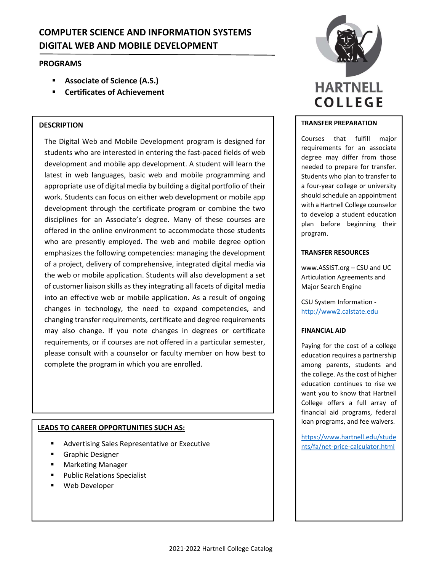# **COMPUTER SCIENCE AND INFORMATION SYSTEMS DIGITAL WEB AND MOBILE DEVELOPMENT**

# **PROGRAMS**

- **Associate of Science (A.S.)**
- **Certificates of Achievement**

# **DESCRIPTION**

The Digital Web and Mobile Development program is designed for students who are interested in entering the fast‐paced fields of web development and mobile app development. A student will learn the latest in web languages, basic web and mobile programming and appropriate use of digital media by building a digital portfolio of their work. Students can focus on either web development or mobile app development through the certificate program or combine the two disciplines for an Associate's degree. Many of these courses are offered in the online environment to accommodate those students who are presently employed. The web and mobile degree option emphasizes the following competencies: managing the development of a project, delivery of comprehensive, integrated digital media via the web or mobile application. Students will also development a set of customer liaison skills as they integrating all facets of digital media into an effective web or mobile application. As a result of ongoing changes in technology, the need to expand competencies, and changing transfer requirements, certificate and degree requirements may also change. If you note changes in degrees or certificate requirements, or if courses are not offered in a particular semester, please consult with a counselor or faculty member on how best to complete the program in which you are enrolled.

# **LEADS TO CAREER OPPORTUNITIES SUCH AS:**

- Advertising Sales Representative or Executive
- **Graphic Designer**
- Marketing Manager
- Public Relations Specialist
- Web Developer



### **TRANSFER PREPARATION**

Courses that fulfill major requirements for an associate degree may differ from those needed to prepare for transfer. Students who plan to transfer to a four‐year college or university should schedule an appointment with a Hartnell College counselor to develop a student education plan before beginning their program.

### **TRANSFER RESOURCES**

www.ASSIST.org – CSU and UC Articulation Agreements and Major Search Engine

CSU System Information ‐ http://www2.calstate.edu

### **FINANCIAL AID**

Paying for the cost of a college education requires a partnership among parents, students and the college. As the cost of higher education continues to rise we want you to know that Hartnell College offers a full array of financial aid programs, federal loan programs, and fee waivers.

https://www.hartnell.edu/stude nts/fa/net‐price‐calculator.html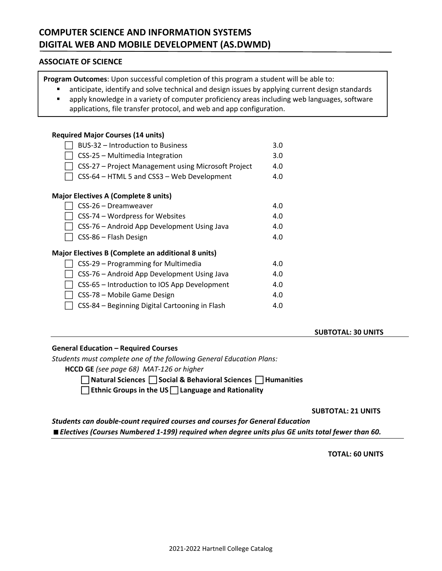# **ASSOCIATE OF SCIENCE**

**Program Outcomes**: Upon successful completion of this program a student will be able to:

- anticipate, identify and solve technical and design issues by applying current design standards
- apply knowledge in a variety of computer proficiency areas including web languages, software applications, file transfer protocol, and web and app configuration.

# **Required Major Courses (14 units)**

| BUS-32 – Introduction to Business                         | 3.0 |
|-----------------------------------------------------------|-----|
| CSS-25 - Multimedia Integration                           | 3.0 |
| CSS-27 - Project Management using Microsoft Project       | 4.0 |
| CSS-64 - HTML 5 and CSS3 - Web Development                | 4.0 |
| <b>Major Electives A (Complete 8 units)</b>               |     |
| CSS-26 - Dreamweaver                                      | 4.0 |
| CSS-74 – Wordpress for Websites                           | 4.0 |
| CSS-76 - Android App Development Using Java               | 4.0 |
| CSS-86 - Flash Design                                     | 4.0 |
| <b>Major Electives B (Complete an additional 8 units)</b> |     |
| CSS-29 – Programming for Multimedia                       | 4.0 |
| CSS-76 - Android App Development Using Java               | 4.0 |
| CSS-65 – Introduction to IOS App Development              | 4.0 |
| CSS-78 - Mobile Game Design                               | 4.0 |
| CSS-84 – Beginning Digital Cartooning in Flash            | 4.0 |

# **SUBTOTAL: 30 UNITS**

### **General Education – Required Courses**

*Students must complete one of the following General Education Plans:*

**HCCD GE** *(see page 68) MAT‐126 or higher*

 **Natural Sciences Social & Behavioral Sciences Humanities** 

**Ethnic Groups in the US Language and Rationality**

 **SUBTOTAL: 21 UNITS** 

*Students can double‐count required courses and courses for General Education Electives (Courses Numbered 1‐199) required when degree units plus GE units total fewer than 60.*

 **TOTAL: 60 UNITS**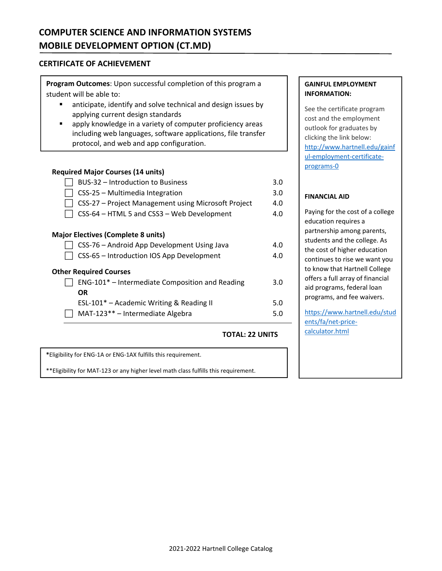# **COMPUTER SCIENCE AND INFORMATION SYSTEMS MOBILE DEVELOPMENT OPTION (CT.MD)**

# **CERTIFICATE OF ACHIEVEMENT**

**Program Outcomes**: Upon successful completion of this program a student will be able to:

- **E** anticipate, identify and solve technical and design issues by applying current design standards
- apply knowledge in a variety of computer proficiency areas including web languages, software applications, file transfer protocol, and web and app configuration.

# **Required Major Courses (14 units)**

| BUS-32 - Introduction to Business                   | 3.0 |
|-----------------------------------------------------|-----|
| CSS-25 - Multimedia Integration                     | 3.0 |
| CSS-27 - Project Management using Microsoft Project | 4.0 |
| CSS-64 - HTML 5 and CSS3 - Web Development          | 4.0 |
| <b>Major Electives (Complete 8 units)</b>           |     |
| CSS-76 - Android App Development Using Java         | 4.0 |
| CSS-65 - Introduction IOS App Development           | 4.0 |
| <b>Other Required Courses</b>                       |     |
| ENG-101* - Intermediate Composition and Reading     | 3.0 |
| OR.                                                 |     |
| ESL-101* - Academic Writing & Reading II            | 5.0 |
| MAT-123** - Intermediate Algebra                    | 5.0 |
|                                                     |     |

# **TOTAL: 22 UNITS**

**\***Eligibility for ENG‐1A or ENG‐1AX fulfills this requirement.

\*\*Eligibility for MAT‐123 or any higher level math class fulfills this requirement.

# **GAINFUL EMPLOYMENT INFORMATION:**

See the certificate program cost and the employment outlook for graduates by clicking the link below: http://www.hartnell.edu/gainf ul‐employment‐certificate‐ programs‐0

# **FINANCIAL AID**

Paying for the cost of a college education requires a partnership among parents, students and the college. As the cost of higher education continues to rise we want you to know that Hartnell College offers a full array of financial aid programs, federal loan programs, and fee waivers.

https://www.hartnell.edu/stud ents/fa/net‐price‐ calculator.html